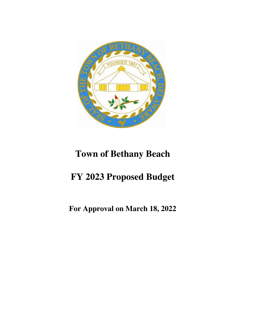

# **Town of Bethany Beach**

# **FY 2023 Proposed Budget**

# **For Approval on March 18, 2022**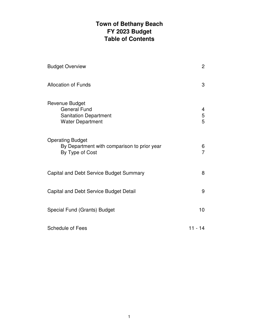## **Town of Bethany Beach FY 2023 Budget Table of Contents**

| <b>Budget Overview</b>                                                                           | $\overline{c}$ |
|--------------------------------------------------------------------------------------------------|----------------|
| <b>Allocation of Funds</b>                                                                       | 3              |
| Revenue Budget<br><b>General Fund</b><br><b>Sanitation Department</b><br><b>Water Department</b> | 4<br>5<br>5    |
| <b>Operating Budget</b><br>By Department with comparison to prior year<br>By Type of Cost        | 6<br>7         |
| Capital and Debt Service Budget Summary                                                          | 8              |
| Capital and Debt Service Budget Detail                                                           | 9              |
| Special Fund (Grants) Budget                                                                     | 10             |
| <b>Schedule of Fees</b>                                                                          | $11 - 14$      |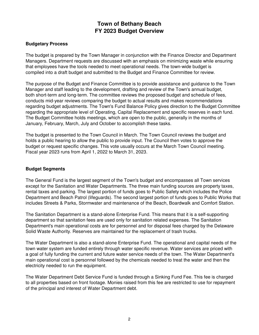## **Town of Bethany Beach FY 2023 Budget Overview**

## **Budgetary Process**

The budget is prepared by the Town Manager in conjunction with the Finance Director and Department Managers. Department requests are discussed with an emphasis on minimizing waste while ensuring that employees have the tools needed to meet operational needs. The town-wide budget is compiled into a draft budget and submitted to the Budget and Finance Committee for review.

The purpose of the Budget and Finance Committee is to provide assistance and guidance to the Town Manager and staff leading to the development, drafting and review of the Town's annual budget, both short-term and long-term. The committee reviews the proposed budget and schedule of fees, conducts mid-year reviews comparing the budget to actual results and makes recommendations regarding budget adjustments. The Town's Fund Balance Policy gives direction to the Budget Committee regarding the appropriate level of Operating, Capital Replacement and specific reserves in each fund. The Budget Committee holds meetings, which are open to the public, generally in the months of January, February, March, July and October to accomplish these tasks.

The budget is presented to the Town Council in March. The Town Council reviews the budget and holds a public hearing to allow the public to provide input. The Council then votes to approve the budget or request specific changes. This vote usually occurs at the March Town Council meeting. Fiscal year 2023 runs from April 1, 2022 to March 31, 2023.

## **Budget Segments**

The General Fund is the largest segment of the Town's budget and encompasses all Town services except for the Sanitation and Water Departments. The three main funding sources are property taxes, rental taxes and parking. The largest portion of funds goes to Public Safety which includes the Police Department and Beach Patrol (lifeguards). The second largest portion of funds goes to Public Works that includes Streets & Parks, Stormwater and maintenance of the Beach, Boardwalk and Comfort Station.

The Sanitation Department is a stand-alone Enterprise Fund. This means that it is a self-supporting department so that sanitation fees are used only for sanitation related expenses. The Sanitation Department's main operational costs are for personnel and for disposal fees charged by the Delaware Solid Waste Authority. Reserves are maintained for the replacement of trash trucks.

The Water Department is also a stand-alone Enterprise Fund. The operational and capital needs of the town water system are funded entirely through water specific revenue. Water services are priced with a goal of fully funding the current and future water service needs of the town. The Water Department's main operational cost is personnel followed by the chemicals needed to treat the water and then the electricity needed to run the equipment.

The Water Department Debt Service Fund is funded through a Sinking Fund Fee. This fee is charged to all properties based on front footage. Monies raised from this fee are restricted to use for repayment of the principal and interest of Water Department debt.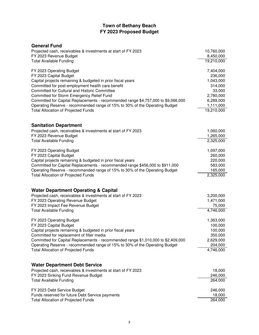## **Town of Bethany Beach FY 2023 Proposed Budget**

| <b>General Fund</b>                                                               |                     |
|-----------------------------------------------------------------------------------|---------------------|
| Projected cash, receivables & investments at start of FY 2023                     | 10,760,000          |
| FY 2023 Revenue Budget                                                            | 8,450,000           |
| <b>Total Available Funding</b>                                                    | 19,210,000          |
| FY 2023 Operating Budget                                                          | 7,404,000           |
| FY 2023 Capital Budget                                                            | 236,000             |
| Capital projects remaining & budgeted in prior fiscal years                       | 1,043,000           |
| Committed for post-employment health care benefit                                 | 314,000             |
| Committed for Cultural and Historic Committee                                     | 33,000              |
| Committed for Storm Emergency Relief Fund                                         | 2,780,000           |
| Committed for Capital Replacements - recommended range \$4,757,000 to \$9,066,000 | 6,289,000           |
| Operating Reserve - recommended range of 15% to 30% of the Operating Budget       | 1,111,000           |
| <b>Total Allocation of Projected Funds</b>                                        | 19,210,000          |
| <b>Sanitation Department</b>                                                      |                     |
| Projected cash, receivables & investments at start of FY 2023                     | 1,060,000           |
| FY 2023 Revenue Budget                                                            | 1,265,000           |
| <b>Total Available Funding</b>                                                    | 2,325,000           |
| FY 2023 Operating Budget                                                          | 1,097,000           |
| FY 2023 Capital Budget                                                            | 260,000             |
| Capital projects remaining & budgeted in prior fiscal years                       | 220,000             |
| Committed for Capital Replacements - recommended range \$456,000 to \$911,000     | 583,000             |
| Operating Reserve - recommended range of 15% to 30% of the Operating Budget       | 165,000             |
| <b>Total Allocation of Projected Funds</b>                                        | 2,325,000           |
|                                                                                   |                     |
| <b>Water Department Operating &amp; Capital</b>                                   |                     |
| Projected cash, receivables & investments at start of FY 2023                     | 3,200,000           |
| FY 2023 Operating Revenue Budget                                                  | 1,471,000           |
| FY 2023 Impact Fee Revenue Budget<br><b>Total Available Funding</b>               | 75,000<br>4,746,000 |
| FY 2023 Operating Budget                                                          | 1,363,000           |
| FY 2023 Capital Budget                                                            | 100,000             |
| Capital projects remaining & budgeted in prior fiscal years                       | 100,000             |
| Committed for replacement of filter media                                         | 350,000             |
| Committed for Capital Replacements - recommended range \$1,010,000 to \$2,409,000 | 2,629,000           |
| Operating Reserve - recommended range of 15% to 30% of the Operating Budget       | 204,000             |
| <b>Total Allocation of Projected Funds</b>                                        | 4,746,000           |
|                                                                                   |                     |
| <b>Water Department Debt Service</b>                                              |                     |
| Projected cash, receivables & investments at start of FY 2023                     | 18,000              |
| FY 2023 Sinking Fund Revenue Budget                                               | 246,000             |
| <b>Total Available Funding</b>                                                    | 264,000             |
| FY 2023 Debt Service Budget                                                       | 246,000             |
| Funds reserved for future Debt Service payments                                   | 18,000              |
| <b>Total Allocation of Projected Funds</b>                                        | 264,000             |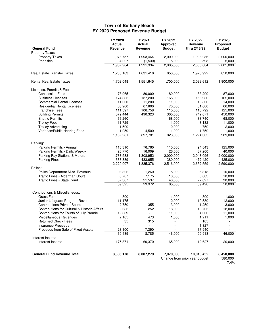## **Town of Bethany Beach FY 2023 Proposed Revenue Budget**

| <b>General Fund</b>                           | FY 2020<br>Actual<br>Revenue | FY 2021<br><b>Actual</b><br>Revenue | FY 2022<br>Approved<br><b>Budget</b> | FY 2022<br>Revenue<br>thru 2/18/22 | FY 2023<br>Proposed<br><b>Budget</b> |
|-----------------------------------------------|------------------------------|-------------------------------------|--------------------------------------|------------------------------------|--------------------------------------|
| <b>Property Taxes:</b>                        |                              |                                     |                                      |                                    |                                      |
| <b>Property Taxes</b>                         | 1,978,757                    | 1,993,464                           | 2,000,000                            | 1,998,286                          | 2,000,000                            |
| Penalties                                     | 4,227                        | (1,530)                             | 5,000                                | 2,598                              | 5,000                                |
|                                               | 1,982,984                    | 1,991,934                           | 2,005,000                            | 2,000,884                          | 2,005,000                            |
| <b>Real Estate Transfer Taxes</b>             | 1,280,103                    | 1,631,416                           | 650,000                              | 1,926,992                          | 850,000                              |
| <b>Rental Real Estate Taxes</b>               | 1,702,048                    | 1,551,645                           | 1,700,000                            | 2,099,612                          | 1,900,000                            |
| Licenses, Permits & Fees:                     |                              |                                     |                                      |                                    |                                      |
| <b>Concession Fees</b>                        | 78,965                       | 80,000                              | 80,000                               | 83,200                             | 87,000                               |
| <b>Business Licenses</b>                      | 174,835                      | 137,200                             | 165,000                              | 156,930                            | 165,000                              |
| <b>Commercial Rental Licenses</b>             | 11,000                       | 11,200                              | 11,000                               | 13,800                             | 14,000                               |
| <b>Residential Rental Licenses</b>            | 65,900                       | 67,800                              | 70,000                               | 61,600                             | 66,000                               |
| <b>Franchise Fees</b>                         | 111,597                      | 106,758                             | 115,000                              | 116,792                            | 125,000                              |
| <b>Building Permits</b>                       | 579,444                      | 490,323                             | 300,000                              | 742,671                            | 450,000                              |
| <b>Shuttle Permits</b>                        | 66,260                       |                                     | 68,000                               | 38,740                             | 68,000                               |
| <b>Trolley Fees</b>                           | 11,729                       | ÷.                                  | 11,000                               | 8,132                              | 11,000                               |
| <b>Trolley Advertising</b>                    | 1,500                        |                                     | 2,000                                | 750                                | 2,000                                |
| Variance/Public Hearing Fees                  | 1,050                        | 4,500                               | 1,000                                | 1,750                              | 1.000                                |
|                                               | 1,102,281                    | 897,781                             | 823,000                              | 1,224,365                          | 989,000                              |
| Parking:                                      |                              |                                     |                                      |                                    |                                      |
| Parking Permits - Annual                      | 116,310                      | 76,760                              | 110,000                              | 94,843                             | 125,000                              |
| Parking Permits - Daily/Weekly                | 26,770                       | 16,009                              | 26,000                               | 37,200                             | 40,000                               |
| Parking Pay Stations & Meters                 | 1,738,538                    | 1,308,952                           | 2,000,000                            | 2,048,096                          | 2,000,000                            |
| <b>Parking Fines</b>                          | 338,389                      | 433,655                             | 380,000                              | 472,420                            | 425,000                              |
| Police:                                       | 2,220,007                    | 1,835,376                           | 2,516,000                            | 2,652,559                          | 2,590,000                            |
| Police Department Misc. Revenue               | 23,322                       | 1,260                               | 15,000                               | 6,318                              | 10,000                               |
| Traffic Fines - Alderman Court                | 3,707                        | 7,175                               | 10,000                               | 6,083                              | 10,000                               |
| <b>Traffic Fines - State Court</b>            | 32,367                       | 21,537                              | 40,000                               | 27,097                             | 30,000                               |
|                                               | 59,395                       | 29,972                              | 65,000                               | 39,498                             | 50,000                               |
|                                               |                              |                                     |                                      |                                    |                                      |
| Contributions & Miscellaneous:<br>Grass Fees  | 800                          |                                     | 1,000                                | 800                                | 1,000                                |
| Junior Lifeguard Program Revenue              | 11,175                       | $\overline{\phantom{a}}$            | 12,000                               | 19,580                             | 12,000                               |
| <b>Contributions Private Source</b>           | 2,750                        | 355                                 | 3,000                                | 1,250                              | 3,000                                |
| Contributions for Cultural & Historic Affairs | 2,685                        | 252                                 | 18,000                               | 13,705                             | 18,000                               |
| Contributions for Fourth of July Parade       | 12,839                       |                                     | 11,000                               | 4,000                              | 11,000                               |
| Miscellaneous Revenues                        | 2,105                        | 473                                 | 1,000                                | 1,211                              | 1,000                                |
| <b>Returned Check Fees</b>                    | 35                           | 315                                 | ÷,                                   | 105                                |                                      |
| <b>Insurance Proceeds</b>                     | ٠                            | $\overline{\phantom{a}}$            | $\sim$                               | 1,327                              | $\sim$                               |
| Proceeds from Sale of Fixed Assets            | 28,100                       | 7,390                               |                                      | 17,940                             |                                      |
|                                               | 60,489                       | 8,785                               | 46,000                               | 59,918                             | 46,000                               |
| Interest Income:                              |                              |                                     |                                      |                                    |                                      |
| Interest Income                               | 175,871                      | 60,370                              | 65,000                               | 12,627                             | 20,000                               |
| <b>General Fund Revenue Total</b>             | 8,583,178                    | 8,007,279                           | 7,870,000                            | 10,016,455                         | 8,450,000                            |
|                                               |                              |                                     |                                      | Change from prior year budget      | 580,000<br>7.4%                      |

4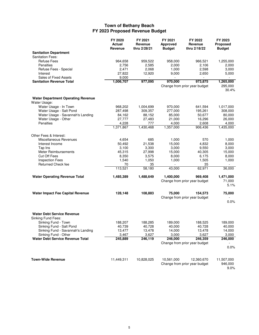## **Town of Bethany Beach FY 2023 Proposed Revenue Budget**

|                                                           | FY 2020<br>Actual<br>Revenue | FY 2021<br>Revenue<br>thru 2/28/21 | FY 2021<br>Approved<br><b>Budget</b> | FY 2022<br>Revenue<br>thru 2/18/22       | FY 2023<br>Proposed<br><b>Budget</b> |
|-----------------------------------------------------------|------------------------------|------------------------------------|--------------------------------------|------------------------------------------|--------------------------------------|
| <b>Sanitation Department</b>                              |                              |                                    |                                      |                                          |                                      |
| <b>Sanitation Fees:</b>                                   |                              |                                    |                                      |                                          |                                      |
| <b>Refuse Fees</b>                                        | 964,658                      | 959,522                            | 958,000                              | 966,521                                  | 1,255,000                            |
| Penalties                                                 | 2,756                        | 2,585                              | 2,000                                | 2,106                                    | 2,000                                |
| Refuse Fees - Special                                     | 2,471                        | 2,068                              | 1,000                                | 2,598                                    | 3,000                                |
| Interest                                                  | 27,822                       | 12,920                             | 9,000                                | 2,650                                    | 5,000                                |
| Sales of Fixed Assets                                     | 9,000                        |                                    |                                      |                                          |                                      |
| <b>Sanitation Revenue Total</b>                           | 1,006,707                    | 977,095                            | 970,000                              | 973,875                                  | 1,265,000                            |
|                                                           |                              |                                    |                                      | Change from prior year budget            | 295,000<br>30.4%                     |
| <b>Water Department Operating Revenue</b><br>Water Usage: |                              |                                    |                                      |                                          |                                      |
| Water Usage - In Town                                     | 968,202                      | 1,004,699                          | 970,000                              | 641,594                                  | 1,017,000                            |
| Water Usage - Salt Pond                                   | 287,498                      | 309,357                            | 277,000                              | 195,261                                  | 308,000                              |
| Water Usage - Savannah's Landing                          | 84,162                       | 88,152                             | 85,000                               | 50,677                                   | 80,000                               |
| Water Usage - Other                                       | 27,777                       | 27,483                             | 21,000                               | 16,296                                   | 26,000                               |
| Penalties                                                 | 4.228                        | 777                                | 4,000                                | 2,608                                    | 4,000                                |
|                                                           | 1,371,867                    | 1,430,468                          | 1,357,000                            | 906,436                                  | 1,435,000                            |
| Other Fees & Interest:                                    |                              |                                    |                                      |                                          |                                      |
| Miscellaneous Revenues                                    | 4,654                        | 685                                | 1,000                                | 570                                      | 1,000                                |
| Interest Income                                           | 50,492                       | 21,538                             | 15,000                               | 4,832                                    | 8,000                                |
| Tap Ins                                                   | 3,100                        | 3,300                              | 3,000                                | 9,550                                    | 3,000                                |
| Meter Reimbursements                                      | 45,315                       | 27,998                             | 15,000                               | 40,305                                   | 15,000                               |
| <b>Cut Off Fees</b>                                       | 8,350                        | 3,575                              | 8,000                                | 6,175                                    | 8,000                                |
| <b>Inspection Fees</b>                                    | 1,540                        | 1,050                              | 1,000                                | 1,505                                    | 1,000                                |
| Returned Check fee                                        | 70<br>113,521                | 35<br>58,180                       | 43,000                               | 35<br>62,971                             | 36,000                               |
|                                                           |                              |                                    |                                      |                                          |                                      |
| <b>Water Operating Revenue Total</b>                      | 1,485,389                    | 1,488,649                          | 1,400,000                            | 969,408<br>Change from prior year budget | 1,471,000<br>71,000                  |
|                                                           |                              |                                    |                                      |                                          | 5.1%                                 |
| <b>Water Impact Fee Capital Revenue</b>                   | 128,148                      | 108,883                            | 75,000                               | 154,573                                  | 75,000                               |
|                                                           |                              |                                    |                                      | Change from prior year budget            | 0.0%                                 |
| <b>Water Debt Service Revenue</b>                         |                              |                                    |                                      |                                          |                                      |
| Sinking Fund Fees:                                        |                              |                                    |                                      |                                          |                                      |
| Sinking Fund - Town                                       | 188,207                      | 188,285                            | 189,000                              | 188,525                                  | 189,000                              |
| Sinking Fund - Salt Pond                                  | 40,739                       | 40,728                             | 40,000                               | 40,728                                   | 40,000                               |
| Sinking Fund - Savannah's Landing                         | 13,477                       | 13,478                             | 14,000                               | 13,478                                   | 14,000                               |
| Sinking Fund - Other                                      | 3,467                        | 3,627                              | 3,000                                | 3,627                                    | 3,000                                |
| <b>Water Debt Service Revenue Total</b>                   | 245,889                      | 246,119                            | 246,000                              | 246,359                                  | 246,000                              |
|                                                           |                              |                                    |                                      | Change from prior year budget            | 0.0%                                 |
| <b>Town-Wide Revenue</b>                                  | 11,449,311                   | 10,828,025                         | 10,561,000                           | 12,360,670                               | 11,507,000                           |
|                                                           |                              |                                    |                                      | Change from prior year budget            | 946,000<br>9.0%                      |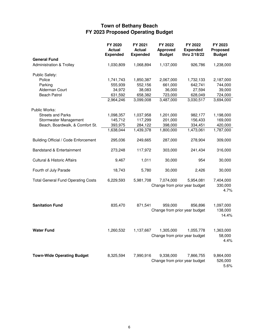## **Town of Bethany Beach FY 2023 Proposed Operating Budget**

|                                           | FY 2020<br><b>Actual</b><br><b>Expended</b> | FY 2021<br><b>Actual</b><br><b>Expended</b> | FY 2022<br><b>Approved</b><br><b>Budget</b> | FY 2022<br><b>Expended</b><br>thru 2/18/22 | FY 2023<br>Proposed<br><b>Budget</b> |
|-------------------------------------------|---------------------------------------------|---------------------------------------------|---------------------------------------------|--------------------------------------------|--------------------------------------|
| <b>General Fund</b>                       |                                             |                                             |                                             |                                            |                                      |
| <b>Administration &amp; Trolley</b>       | 1,030,809                                   | 1,068,894                                   | 1,137,000                                   | 926,786                                    | 1,238,000                            |
| Public Safety:                            |                                             |                                             |                                             |                                            |                                      |
| Police                                    | 1,741,743                                   | 1,850,387                                   | 2,067,000                                   | 1,732,133                                  | 2,187,000                            |
| Parking                                   | 555,939                                     | 552,156                                     | 661,000                                     | 642,741                                    | 744,000                              |
| Alderman Court                            | 34,972                                      | 38,083                                      | 36,000                                      | 27,594                                     | 39,000                               |
| <b>Beach Patrol</b>                       | 631,592                                     | 658,382                                     | 723,000                                     | 628,049                                    | 724,000                              |
|                                           | 2,964,246                                   | 3,099,008                                   | 3,487,000                                   | 3,030,517                                  | 3,694,000                            |
| Public Works:                             |                                             |                                             |                                             |                                            |                                      |
| <b>Streets and Parks</b>                  | 1,098,357                                   | 1,037,958                                   | 1,201,000                                   | 982,177                                    | 1,198,000                            |
| Stormwater Management                     | 145,712                                     | 117,299                                     | 201,000                                     | 156,433                                    | 169,000                              |
| Beach, Boardwalk, & Comfort St.           | 393,975                                     | 284,122                                     | 398,000                                     | 334,451                                    | 420,000                              |
|                                           | 1,638,044                                   | 1,439,378                                   | 1,800,000                                   | 1,473,061                                  | 1,787,000                            |
| Building Official / Code Enforcement      | 295,036                                     | 249,665                                     | 287,000                                     | 278,904                                    | 309,000                              |
| Bandstand & Entertainment                 | 273,248                                     | 117,972                                     | 303,000                                     | 241,434                                    | 316,000                              |
| <b>Cultural &amp; Historic Affairs</b>    | 9,467                                       | 1,011                                       | 30,000                                      | 954                                        | 30,000                               |
| Fourth of July Parade                     | 18,743                                      | 5,780                                       | 30,000                                      | 2,426                                      | 30,000                               |
| <b>Total General Fund Operating Costs</b> | 6,229,593                                   | 5,981,708                                   | 7,074,000                                   | 5,954,081<br>Change from prior year budget | 7,404,000<br>330,000<br>4.7%         |
| <b>Sanitation Fund</b>                    | 835,470                                     | 871,541                                     | 959,000                                     | 856,896<br>Change from prior year budget   | 1,097,000<br>138,000<br>14.4%        |
| <b>Water Fund</b>                         | 1,260,532                                   | 1,137,667                                   | 1,305,000                                   | 1,055,778<br>Change from prior year budget | 1,363,000<br>58,000<br>4.4%          |
| <b>Town-Wide Operating Budget</b>         | 8,325,594                                   | 7,990,916                                   | 9,338,000                                   | 7,866,755<br>Change from prior year budget | 9,864,000<br>526,000<br>5.6%         |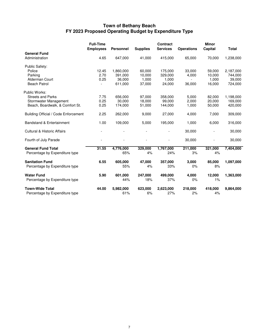## **Town of Bethany Beach FY 2023 Proposed Operating Budget by Expenditure Type**

|                                        | <b>Full-Time</b><br><b>Employees</b> | <b>Personnel</b> | <b>Supplies</b> | <b>Contract</b><br><b>Services</b> | <b>Operations</b> | <b>Minor</b><br>Capital | <b>Total</b> |
|----------------------------------------|--------------------------------------|------------------|-----------------|------------------------------------|-------------------|-------------------------|--------------|
| <b>General Fund</b>                    |                                      |                  |                 |                                    |                   |                         |              |
| Administration                         | 4.65                                 | 647,000          | 41,000          | 415,000                            | 65,000            | 70,000                  | 1,238,000    |
| Public Safety:                         |                                      |                  |                 |                                    |                   |                         |              |
| Police                                 | 12.45                                | 1,860,000        | 60,000          | 175,000                            | 33,000            | 59,000                  | 2,187,000    |
| Parking                                | 2.70                                 | 391,000          | 10.000          | 329.000                            | 4,000             | 10.000                  | 744,000      |
| Alderman Court                         | 0.25                                 | 36,000           | 1,000           | 1,000                              | $\blacksquare$    | 1,000                   | 39,000       |
| <b>Beach Patrol</b>                    |                                      | 611,000          | 37,000          | 24,000                             | 36,000            | 16,000                  | 724,000      |
| Public Works:                          |                                      |                  |                 |                                    |                   |                         |              |
| <b>Streets and Parks</b>               | 7.75                                 | 656,000          | 97,000          | 358,000                            | 5,000             | 82.000                  | 1,198,000    |
| Stormwater Management                  | 0.25                                 | 30,000           | 18,000          | 99,000                             | 2,000             | 20,000                  | 169,000      |
| Beach, Boardwalk, & Comfort St.        | 0.25                                 | 174,000          | 51,000          | 144,000                            | 1,000             | 50,000                  | 420,000      |
| Building Official / Code Enforcement   | 2.25                                 | 262,000          | 9,000           | 27,000                             | 4,000             | 7,000                   | 309,000      |
| <b>Bandstand &amp; Entertainment</b>   | 1.00                                 | 109,000          | 5,000           | 195,000                            | 1,000             | 6,000                   | 316,000      |
| <b>Cultural &amp; Historic Affairs</b> |                                      |                  |                 |                                    | 30,000            |                         | 30,000       |
| Fourth of July Parade                  |                                      |                  |                 |                                    | 30,000            |                         | 30,000       |
| <b>General Fund Total</b>              | 31.55                                | 4,776,000        | 329,000         | 1,767,000                          | 211,000           | 321,000                 | 7,404,000    |
| Percentage by Expenditure type         |                                      | 65%              | 4%              | 24%                                | 3%                | 4%                      |              |
| <b>Sanitation Fund</b>                 | 6.55                                 | 605,000          | 47,000          | 357,000                            | 3,000             | 85,000                  | 1,097,000    |
| Percentage by Expenditure type         |                                      | 55%              | 4%              | 33%                                | 0%                | 8%                      |              |
| <b>Water Fund</b>                      | 5.90                                 | 601,000          | 247,000         | 499,000                            | 4,000             | 12,000                  | 1,363,000    |
| Percentage by Expenditure type         |                                      | 44%              | 18%             | 37%                                | 0%                | 1%                      |              |
| <b>Town-Wide Total</b>                 | 44.00                                | 5,982,000        | 623,000         | 2,623,000                          | 218,000           | 418,000                 | 9,864,000    |
| Percentage by Expenditure type         |                                      | 61%              | 6%              | 27%                                | 2%                | 4%                      |              |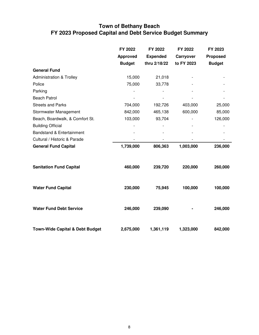## **Town of Bethany Beach FY 2023 Proposed Capital and Debt Service Budget Summary**

|                                            | FY 2022         | FY 2022         | FY 2022    | FY 2023         |
|--------------------------------------------|-----------------|-----------------|------------|-----------------|
|                                            | <b>Approved</b> | <b>Expended</b> | Carryover  | <b>Proposed</b> |
|                                            | <b>Budget</b>   | thru 2/18/22    | to FY 2023 | <b>Budget</b>   |
| <b>General Fund</b>                        |                 |                 |            |                 |
| <b>Administration &amp; Trolley</b>        | 15,000          | 21,018          |            |                 |
| Police                                     | 75,000          | 33,778          |            |                 |
| Parking                                    |                 |                 |            |                 |
| <b>Beach Patrol</b>                        |                 |                 |            |                 |
| <b>Streets and Parks</b>                   | 704,000         | 192,726         | 403,000    | 25,000          |
| Stormwater Management                      | 842,000         | 465,138         | 600,000    | 85,000          |
| Beach, Boardwalk, & Comfort St.            | 103,000         | 93,704          |            | 126,000         |
| <b>Building Official</b>                   |                 |                 |            |                 |
| Bandstand & Entertainment                  |                 |                 |            |                 |
| Cultural / Historic & Parade               |                 |                 |            |                 |
| <b>General Fund Capital</b>                | 1,739,000       | 806,363         | 1,003,000  | 236,000         |
| <b>Sanitation Fund Capital</b>             | 460,000         | 239,720         | 220,000    | 260,000         |
| <b>Water Fund Capital</b>                  | 230,000         | 75,945          | 100,000    | 100,000         |
| <b>Water Fund Debt Service</b>             | 246,000         | 239,090         |            | 246,000         |
| <b>Town-Wide Capital &amp; Debt Budget</b> | 2,675,000       | 1,361,119       | 1,323,000  | 842,000         |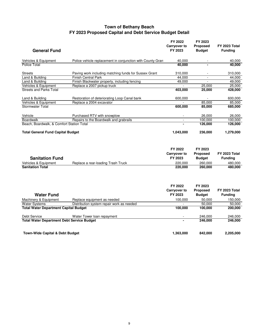### **Town of Bethany Beach FY 2023 Proposed Capital and Debt Service Budget Detail**

| <b>General Fund</b>                          |                                                             | FY 2022<br><b>Carryover to</b><br>FY 2023 | FY 2023<br><b>Proposed</b><br><b>Budget</b> | <b>FY 2023 Total</b><br><b>Funding</b> |
|----------------------------------------------|-------------------------------------------------------------|-------------------------------------------|---------------------------------------------|----------------------------------------|
| Vehicles & Equipment                         | Police vehicle replacement in conjunction with County Grant | 40.000                                    |                                             | 40.000                                 |
| Police Total                                 |                                                             | 40,000                                    |                                             | 40,000                                 |
| <b>Streets</b>                               | Paving work including matching funds for Sussex Grant       | 310,000                                   |                                             | 310,000                                |
| Land & Building                              | <b>Finish Central Park</b>                                  | 44,000                                    | $\overline{\phantom{a}}$                    | 44,000                                 |
| Land & Building                              | Finish Blackwater property, including fencing               | 49,000                                    | $\sim$                                      | 49,000                                 |
| Vehicles & Equipment                         | Replace a 2007 pickup truck                                 |                                           | 25.000                                      | 25.000                                 |
| <b>Streets and Parks Total</b>               |                                                             | 403,000                                   | 25,000                                      | 428,000                                |
| Land & Building                              | Restoration of deteriorating Loop Canal bank                | 600,000                                   |                                             | 600,000                                |
| Vehicles & Equipment                         | Replace a 2004 excavator                                    |                                           | 85.000                                      | 85.000                                 |
| Stormwater Total                             |                                                             | 600,000                                   | 85,000                                      | 685,000                                |
| Vehicle                                      | Purchased RTV with snowplow                                 |                                           | 26,000                                      | 26,000                                 |
| <b>Boardwalk</b>                             | Repairs to the Boardwalk and grabrails                      | $\omega$                                  | 100.000                                     | 100.000                                |
| Beach, Boardwalk, & Comfort Station Total    |                                                             |                                           | 126,000                                     | 126,000                                |
| <b>Total General Fund Capital Budget</b>     |                                                             | 1,043,000                                 | 236,000                                     | 1,279,000                              |
| <b>Sanitation Fund</b>                       |                                                             | FY 2022<br><b>Carryover to</b><br>FY 2023 | FY 2023<br><b>Proposed</b><br><b>Budget</b> | <b>FY 2023 Total</b><br><b>Funding</b> |
| Vehicles & Equipment                         | Replace a rear-loading Trash Truck                          | 220,000                                   | 260,000                                     | 480,000                                |
| <b>Sanitation Total</b>                      |                                                             | 220,000                                   | 260,000                                     | 480,000                                |
|                                              |                                                             | FY 2022                                   | FY 2023                                     |                                        |
|                                              |                                                             | <b>Carryover to</b>                       | <b>Proposed</b>                             | <b>FY 2023 Total</b>                   |
| <b>Water Fund</b>                            |                                                             | FY 2023                                   | <b>Budget</b>                               | <b>Funding</b>                         |
| Machinery & Equipment                        | Replace equipment as needed                                 | 100,000                                   | 50,000                                      | 150,000                                |
| <b>Water Systems</b>                         | Distribution system repair work as needed                   |                                           | 50.000                                      | 50.000                                 |
| <b>Total Water Department Capital Budget</b> |                                                             | 100,000                                   | 100,000                                     | 200,000                                |

Debt Service Water Tower loan repayment - 246,000 246,000 **Total Water Department Debt Service Budget 4000 246,000 246,000 246,000 246,000 246,000 246,000 246,000 246,000 246,000 246,000 246,000 246,000 246,000 246,000 246,000 246,000 246,000 246,000 246,000 246,000 246,000 246,0** 

**Town-Wide Capital & Debt Budget 1,363,000 842,000 2,205,000**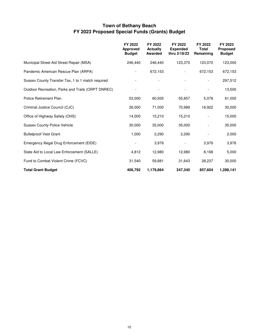## **Town of Bethany Beach FY 2023 Proposed Special Funds (Grants) Budget**

|                                                   | FY 2022<br><b>Approved</b><br><b>Budget</b> | FY 2022<br><b>Actually</b><br><b>Awarded</b> | FY 2022<br><b>Expended</b><br>thru 2/18/22 | FY 2022<br>Total<br>Remaining | FY 2023<br>Proposed<br><b>Budget</b> |
|---------------------------------------------------|---------------------------------------------|----------------------------------------------|--------------------------------------------|-------------------------------|--------------------------------------|
| Municipal Street Aid Street Repair (MSA)          | 246,440                                     | 246,440                                      | 123,370                                    | 123,070                       | 123,000                              |
| Pandemic American Rescue Plan (ARPA)              | $\overline{\phantom{a}}$                    | 672,153                                      |                                            | 672,153                       | 672,153                              |
| Sussex County Transfer Tax, 1 to 1 match required |                                             |                                              |                                            |                               | 297,512                              |
| Outdoor Recreation, Parks and Trails (ORPT DNREC) |                                             |                                              |                                            |                               | 13,500                               |
| Police Retirement Plan                            | 53,000                                      | 60,935                                       | 55,857                                     | 5,078                         | 61,000                               |
| Criminal Justice Council (CJC)                    | 26,000                                      | 71,000                                       | 70,989                                     | 16,922                        | 30,000                               |
| Office of Highway Safety (OHS)                    | 14,000                                      | 15,210                                       | 15,210                                     |                               | 15,000                               |
| <b>Sussex County Police Vehicle</b>               | 30,000                                      | 35,000                                       | 35,000                                     |                               | 35,000                               |
| <b>Bulletproof Vest Grant</b>                     | 1,000                                       | 2,290                                        | 2,290                                      |                               | 2,000                                |
| Emergency Illegal Drug Enforcement (EIDE)         |                                             | 3,976                                        |                                            | 3,976                         | 3,976                                |
| State Aid to Local Law Enforcement (SALLE)        | 4,812                                       | 12,980                                       | 12,980                                     | 8,168                         | 5,000                                |
| Fund to Combat Violent Crime (FCVC)               | 31,540                                      | 59,881                                       | 31,643                                     | 28,237                        | 30,000                               |
| <b>Total Grant Budget</b>                         | 406,792                                     | 1,179,864                                    | 347,340                                    | 857,604                       | 1,288,141                            |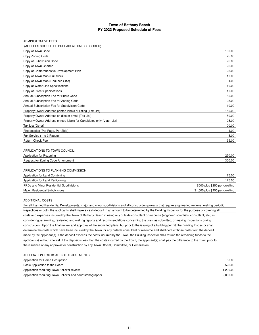| <b>ADMINISTRATIVE FEES:</b>                                            |        |
|------------------------------------------------------------------------|--------|
| (ALL FEES SHOULD BE PREPAID AT TIME OF ORDER)                          |        |
| Copy of Town Code                                                      | 100.00 |
| Copy Zoning Code                                                       | 25.00  |
| Copy of Subdivision Code                                               | 25.00  |
| Copy of Town Charter                                                   | 25.00  |
| Copy of Comprehensive Development Plan                                 | 25.00  |
| Copy of Town Map (Full Size)                                           | 10.00  |
| Copy of Town Map (Reduced Size)                                        | 1.00   |
| Copy of Water Line Specifications                                      | 10.00  |
| Copy of Street Specifications                                          | 10.00  |
| Annual Subscription Fee for Entire Code                                | 50.00  |
| Annual Subscription Fee for Zoning Code                                | 25.00  |
| Annual Subscription Fee for Subdivision Code                           | 10.00  |
| Property Owner Address printed labels or listing (Tax List)            | 150.00 |
| Property Owner Address on disc or email (Tax List)                     | 50.00  |
| Property Owner Address printed labels for Candidates only (Voter List) | 25.00  |
| Tax List (Other)                                                       | 100.00 |
| Photocopies (Per Page, Per Side)                                       | 1.00   |
| Fax Service (1 to 3 Pages)                                             | 5.00   |
| <b>Return Check Fee</b>                                                | 35.00  |
|                                                                        |        |

#### APPLICATIONS TO TOWN COUNCIL:

| Applic<br>Rezoning<br>tor<br>י ∩חוזי | .50.00 |
|--------------------------------------|--------|
| Regi<br>r'oda<br>Amendment<br>∠onina | 00.00  |
|                                      |        |

#### APPLICATIONS TO PLANNING COMMISSION:

| Application for Land Combining                 | 175.00                          |
|------------------------------------------------|---------------------------------|
| Application for Land Partitioning              | 175.00                          |
| <b>PRDs and Minor Residential Subdivisions</b> | \$500 plus \$250 per dwelling   |
| Major Residential Subdivisions                 | \$1,000 plus \$250 per dwelling |

#### ADDITIONAL COSTS:

For all Planned Residential Developments, major and minor subdivisions and all construction projects that require engineering reviews, making periodic inspections or both, the applicants shall make a cash deposit in an amount to be determined by the Building Inspector for the purpose of covering all costs and expenses incurred by the Town of Bethany Beach in using any outside consultant or resource (engineer, scientists, consultant, etc.) in considering, examining, reviewing and making reports and recommendations concerning the plan, as submitted, or making inspections during construction. Upon the final review and approval of the submitted plans, but prior to the issuing of a building permit, the Building Inspector shall determine the costs which have been incurred by the Town for any outside consultant or resource and shall deduct those costs from the deposit made by the applicant(s). If the deposit exceeds the costs incurred by the Town, the Building Inspector shall refund the remaining funds to the applicant(s) without interest. If the deposit is less than the costs incurred by the Town, the applicant(s) shall pay the difference to the Town prior to the issuance of any approval for construction by any Town Official, Committee, or Commission.

#### APPLICATION FOR BOARD OF ADJUSTMENTS:

| Application for Home Occupation                             | 50.00    |
|-------------------------------------------------------------|----------|
| Basic Application to the Board                              | 525.00   |
| Application requiring Town Solicitor review                 | 1,200.00 |
| Application requiring Town Solicitor and court stenographer | 2,000.00 |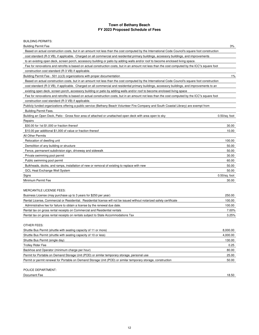### BUILDING PERMITS:

| <b>Building Permit Fee</b>                                                                                                                         | 3%               |
|----------------------------------------------------------------------------------------------------------------------------------------------------|------------------|
| Based on actual construction costs, but in an amount not less than the cost computed by the International Code Council's square foot construction  |                  |
| cost standard (R-3 VB), if applicable. Charged on all commercial and residential primary buildings, accessory buildings, and improvements          |                  |
| to an existing open deck, screen porch, accessory building or patio by adding walls and/or roof to become enclosed living space.                   |                  |
| Fee for renovations and retrofits is based on actual construction costs, but in an amount not less than the cost computed by the ICC"s square foot |                  |
| construction cost standard (R-3 VB) if applicable.                                                                                                 |                  |
| Building Permit Fee - 501 (c)(3) organizations with proper documentation                                                                           | $1\%$            |
| Based on actual construction costs, but in an amount not less than the cost computed by the International Code Council's square foot construction  |                  |
| cost standard (R-3 VB), if applicable. Charged on all commercial and residential primary buildings, accessory buildings, and improvements to an    |                  |
| existing open deck, screen porch, accessory building or patio by adding walls and/or roof to become enclosed living space                          |                  |
| Fee for renovations and retrofits is based on actual construction costs, but in an amount not less than the cost computed by the ICC"s square foot |                  |
| construction cost standard (R-3 VB) if applicable.                                                                                                 |                  |
| Publicly funded organizations offering a public service (Bethany Beach Volunteer Fire Company and South Coastal Library) are exempt from           |                  |
| <b>Building Permit Fees.</b>                                                                                                                       |                  |
| Building an Open Deck, Patio - Gross floor area of attached or unattached open deck with area open to sky                                          | $0.50$ /sq. foot |
| Repairs                                                                                                                                            |                  |
| \$30.00 for 1st \$1,000 or fraction thereof                                                                                                        | 30.00            |
| \$10.00 per additional \$1,000 of value or fraction thereof                                                                                        | 10.00            |
| <b>All Other Permits</b>                                                                                                                           |                  |
| Relocation of dwelling unit                                                                                                                        | 100.00           |
| Demolition of any building or structure                                                                                                            | 50.00            |
| Fence, permanent subdivision sign, driveway and sidewalk                                                                                           | 50.00            |
| Private swimming pool permit                                                                                                                       | 30.00            |
| Public swimming pool permit                                                                                                                        | 60.00            |
| Bulkheads, docks, and ramps, installation of new or removal of existing to replace with new                                                        | 50.00            |
| <b>GCL Heat Exchange Well System</b>                                                                                                               | 50.00            |
| Signs                                                                                                                                              | $0.50$ /sq. foot |
| Minimum Permit Fee                                                                                                                                 | 30.00            |
|                                                                                                                                                    |                  |
| MERCANTILE LICENSE FEES:                                                                                                                           |                  |
| Business License (may purchase up to 3 years for \$250 per year)                                                                                   | 250.00           |
| Rental License, Commercial or Residential. Residential license will not be issued without notarized safety certificate                             | 100.00           |
| Administrative fee for failure to obtain a license by the renewal due date.                                                                        | 100.00           |
| Rental tax on gross rental receipts on Commercial and Residential rentals                                                                          | 7.00%            |
| Rental tax on gross rental receipts on rentals subject to State Accommodations Tax                                                                 | 3.25%            |
|                                                                                                                                                    |                  |
| OTHER FEES:                                                                                                                                        |                  |
| Shuttle Bus Permit (shuttle with seating capacity of 11 or more)                                                                                   | 8,000.00         |
| Shuttle Bus Permit (shuttle with seating capacity of 10 or less)                                                                                   | 4,000.00         |
| Shuttle Bus Permit (single day)                                                                                                                    | 130.00           |
| <b>Trolley Rider Fee</b>                                                                                                                           | 0.25             |
| Backboo and Operator (minimum charge per bour)                                                                                                     | 90.00            |

| Backhoe and Operator (minimum charge per hour)                                                                | 80.00 |
|---------------------------------------------------------------------------------------------------------------|-------|
| Permit for Portable on Demand Storage Unit (POD) or similar temporary storage, personal use                   | 25.00 |
| Permit or permit renewal for Portable on Demand Storage Unit (POD) or similar temporary storage, construction | 50.00 |
|                                                                                                               |       |

#### POLICE DEPARTMENT:

**Document Fee** 18.50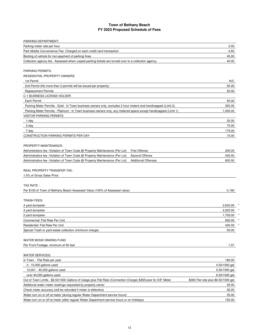| PARKING DEPARTMENT:                                                                                              |                                      |
|------------------------------------------------------------------------------------------------------------------|--------------------------------------|
| Parking meter rate per hour                                                                                      | 2.50                                 |
| Park Mobile Convenience Fee. Charged on each credit card transaction                                             | 0.60                                 |
| Booting of vehicle for non-payment of parking fines                                                              | 45.00                                |
| Collection agency fee. Assessed when unpaid parking tickets are turned over to a collection agency.              | 40.00                                |
|                                                                                                                  |                                      |
| <b>PARKING PERMITS:</b>                                                                                          |                                      |
| RESIDENTIAL PROPERTY OWNERS                                                                                      |                                      |
| 1st Permit                                                                                                       | N/C                                  |
| 2nd Permit (No more than 2 permits will be issued per property)                                                  | 50.00                                |
| <b>Replacement Permits</b>                                                                                       | 50.00                                |
| C-1 BUSINESS LICENSE HOLDER                                                                                      |                                      |
| Each Permit                                                                                                      | 50.00                                |
| Parking Meter Permits - Gold - In Town business owners only, excludes 2 hour meters and handicapped (Limit 2).   | 350.00                               |
| Parking Meter Permits - Platinum - In Town business owners only, any metered space except handicapped (Limit 1). | 1,000.00                             |
| <b>VISITOR PARKING PERMITS</b>                                                                                   |                                      |
| 1-day                                                                                                            | 25.00                                |
| 3-day                                                                                                            | 75.00                                |
| 7-day                                                                                                            | 175.00                               |
| CONSTRUCTION PARKING PERMITS PER DAY                                                                             | 15.00                                |
|                                                                                                                  |                                      |
| PROPERTY MAINTENANCE:                                                                                            |                                      |
| Administrative fee - Violation of Town Code @ Property Maintenance (Per Lot)<br><b>First Offense</b>             | 200.00                               |
| Administrative fee - Violation of Town Code @ Property Maintenance (Per Lot)<br>Second Offense                   | 400.00                               |
| Administrative fee - Violation of Town Code @ Property Maintenance (Per Lot)<br><b>Additional Offenses</b>       | 600.00                               |
|                                                                                                                  |                                      |
| <b>REAL PROPERTY TRANSFER TAX:</b>                                                                               |                                      |
| 1.5% of Gross Sales Price                                                                                        |                                      |
|                                                                                                                  |                                      |
| TAX RATE:                                                                                                        |                                      |
| Per \$100 of Town of Bethany Beach Assessed Value (100% of Assessed value)                                       | 0.190                                |
| <b>TRASH FEES:</b>                                                                                               |                                      |
| 4 yard dumpster                                                                                                  | 2,640.00                             |
| 3 yard dumpster                                                                                                  | 2,225.00                             |
| 2 yard dumpster                                                                                                  | 1,700.00                             |
| Commercial: Flat Rate Per Unit                                                                                   | 600.00                               |
| Residential: Flat Rate Per Unit                                                                                  | 430.00                               |
| Special Trash or yard waste collection (minimum charge)                                                          | 50.00                                |
|                                                                                                                  |                                      |
| WATER BOND SINKING FUND                                                                                          |                                      |
| Per Front Footage, minimum of 50 feet                                                                            | 1.07                                 |
|                                                                                                                  |                                      |
| <b>WATER SERVICES:</b>                                                                                           |                                      |
| In Town<br>Flat Rate per year                                                                                    | 180.00                               |
| $0 - 10,000$ gallons used                                                                                        | 4.50/1000 gal                        |
| 10,001 - 40,000 gallons used                                                                                     | 5.50/1000 gal                        |
| over 40,000 gallons used                                                                                         | 6.50/1000 gal                        |
| Out of Town Limits - \$6.50/1000 Gallons of Usage plus Flat Rate (Connection Charge) \$265/year for 5/8" Meter   | \$265 Flat rate plus \$6.50/1000 gal |
| Additional water meter readings requested by property owner                                                      | 25.00                                |
| Check meter accuracy (will be refunded if meter is defective)                                                    | 35.00                                |
| Water turn on or off at meter (during regular Water Department service hours)                                    | 25.00                                |
| Water turn on or off at meter (after regular Water Department service hours or on holidays)                      | 150.00                               |